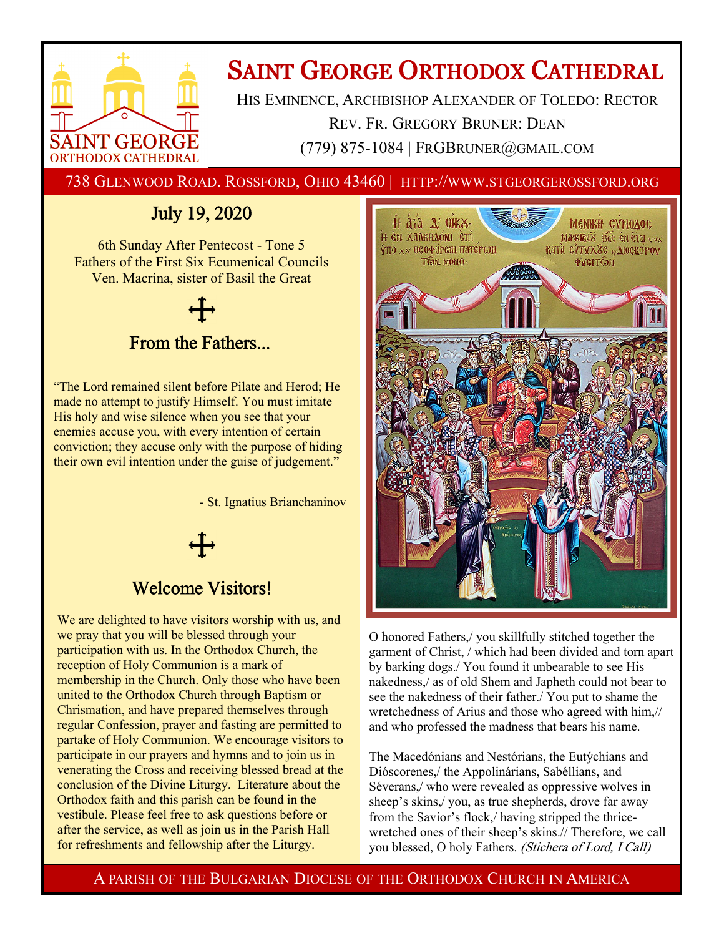

# **SAINT GEORGE ORTHODOX CATHEDRAL**

HIS EMINENCE, ARCHBISHOP ALEXANDER OF TOLEDO: RECTOR REV. FR. GREGORY BRUNER: DEAN (779) 875-1084 | FRGBRUNER@GMAIL.COM

738 GLENWOOD ROAD. ROSSFORD, OHIO 43460 | HTTP://WWW.STGEORGEROSSFORD.ORG

## July 19, 2020

6th Sunday After Pentecost - Tone 5 Fathers of the First Six Ecumenical Councils Ven. Macrina, sister of Basil the Great



"The Lord remained silent before Pilate and Herod; He made no attempt to justify Himself. You must imitate His holy and wise silence when you see that your enemies accuse you, with every intention of certain conviction; they accuse only with the purpose of hiding their own evil intention under the guise of judgement."

- St. Ignatius Brianchaninov

## Welcome Visitors!

We are delighted to have visitors worship with us, and we pray that you will be blessed through your participation with us. In the Orthodox Church, the reception of Holy Communion is a mark of membership in the Church. Only those who have been united to the Orthodox Church through Baptism or Chrismation, and have prepared themselves through regular Confession, prayer and fasting are permitted to partake of Holy Communion. We encourage visitors to participate in our prayers and hymns and to join us in venerating the Cross and receiving blessed bread at the conclusion of the Divine Liturgy. Literature about the Orthodox faith and this parish can be found in the vestibule. Please feel free to ask questions before or after the service, as well as join us in the Parish Hall for refreshments and fellowship after the Liturgy.



O honored Fathers,/ you skillfully stitched together the garment of Christ, / which had been divided and torn apart by barking dogs./ You found it unbearable to see His nakedness,/ as of old Shem and Japheth could not bear to see the nakedness of their father./ You put to shame the wretchedness of Arius and those who agreed with him,// and who professed the madness that bears his name.

The Macedónians and Nestórians, the Eutýchians and Dióscorenes,/ the Appolinárians, Sabéllians, and Séverans,/ who were revealed as oppressive wolves in sheep's skins,/ you, as true shepherds, drove far away from the Savior's flock,/ having stripped the thricewretched ones of their sheep's skins.// Therefore, we call you blessed, O holy Fathers. (Stichera of Lord, I Call)

A PARISH OF THE BULGARIAN DIOCESE OF THE ORTHODOX CHURCH IN AMERICA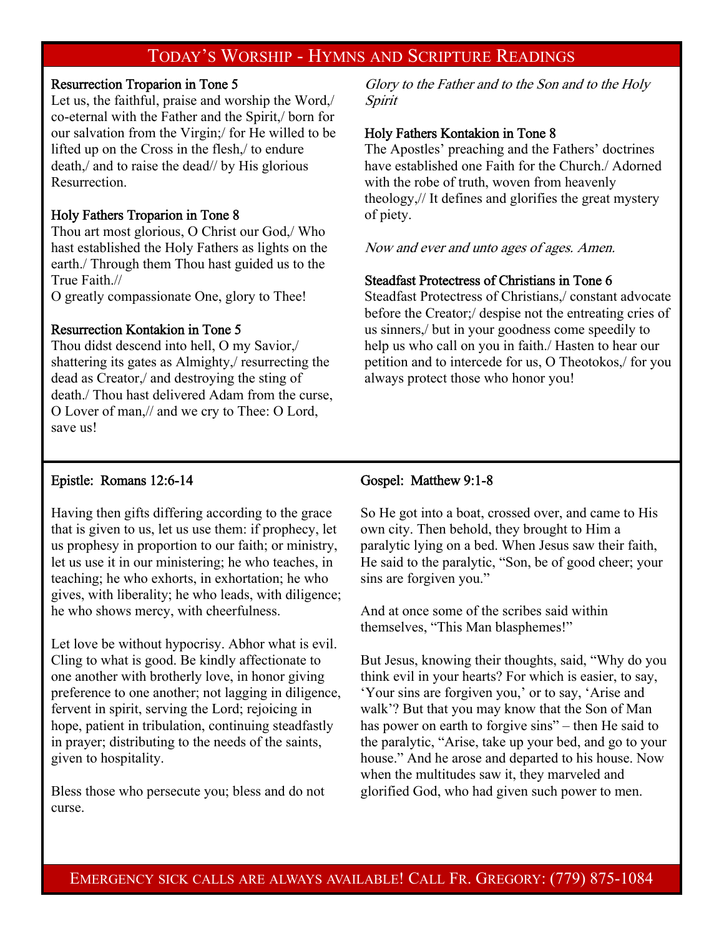## TODAY'S WORSHIP - HYMNS AND SCRIPTURE READINGS

#### Resurrection Troparion in Tone 5

Let us, the faithful, praise and worship the Word,/ co-eternal with the Father and the Spirit,/ born for our salvation from the Virgin;/ for He willed to be lifted up on the Cross in the flesh,/ to endure death,/ and to raise the dead// by His glorious Resurrection.

#### Holy Fathers Troparion in Tone 8

Thou art most glorious, O Christ our God,/ Who hast established the Holy Fathers as lights on the earth./ Through them Thou hast guided us to the True Faith.//

O greatly compassionate One, glory to Thee!

#### Resurrection Kontakion in Tone 5

Thou didst descend into hell, O my Savior,/ shattering its gates as Almighty,/ resurrecting the dead as Creator,/ and destroying the sting of death./ Thou hast delivered Adam from the curse, O Lover of man,// and we cry to Thee: O Lord, save us!

Glory to the Father and to the Son and to the Holy Spirit

#### Holy Fathers Kontakion in Tone 8

The Apostles' preaching and the Fathers' doctrines have established one Faith for the Church./ Adorned with the robe of truth, woven from heavenly theology,// It defines and glorifies the great mystery of piety.

Now and ever and unto ages of ages. Amen.

#### Steadfast Protectress of Christians in Tone 6

Steadfast Protectress of Christians,/ constant advocate before the Creator;/ despise not the entreating cries of us sinners,/ but in your goodness come speedily to help us who call on you in faith./ Hasten to hear our petition and to intercede for us, O Theotokos,/ for you always protect those who honor you!

#### Epistle: Romans 12:6-14

Having then gifts differing according to the grace that is given to us, let us use them: if prophecy, let us prophesy in proportion to our faith; or ministry, let us use it in our ministering; he who teaches, in teaching; he who exhorts, in exhortation; he who gives, with liberality; he who leads, with diligence; he who shows mercy, with cheerfulness.

Let love be without hypocrisy. Abhor what is evil. Cling to what is good. Be kindly affectionate to one another with brotherly love, in honor giving preference to one another; not lagging in diligence, fervent in spirit, serving the Lord; rejoicing in hope, patient in tribulation, continuing steadfastly in prayer; distributing to the needs of the saints, given to hospitality.

Bless those who persecute you; bless and do not curse.

#### Gospel: Matthew 9:1-8

So He got into a boat, crossed over, and came to His own city. Then behold, they brought to Him a paralytic lying on a bed. When Jesus saw their faith, He said to the paralytic, "Son, be of good cheer; your sins are forgiven you."

And at once some of the scribes said within themselves, "This Man blasphemes!"

But Jesus, knowing their thoughts, said, "Why do you think evil in your hearts? For which is easier, to say, 'Your sins are forgiven you,' or to say, 'Arise and walk'? But that you may know that the Son of Man has power on earth to forgive sins" – then He said to the paralytic, "Arise, take up your bed, and go to your house." And he arose and departed to his house. Now when the multitudes saw it, they marveled and glorified God, who had given such power to men.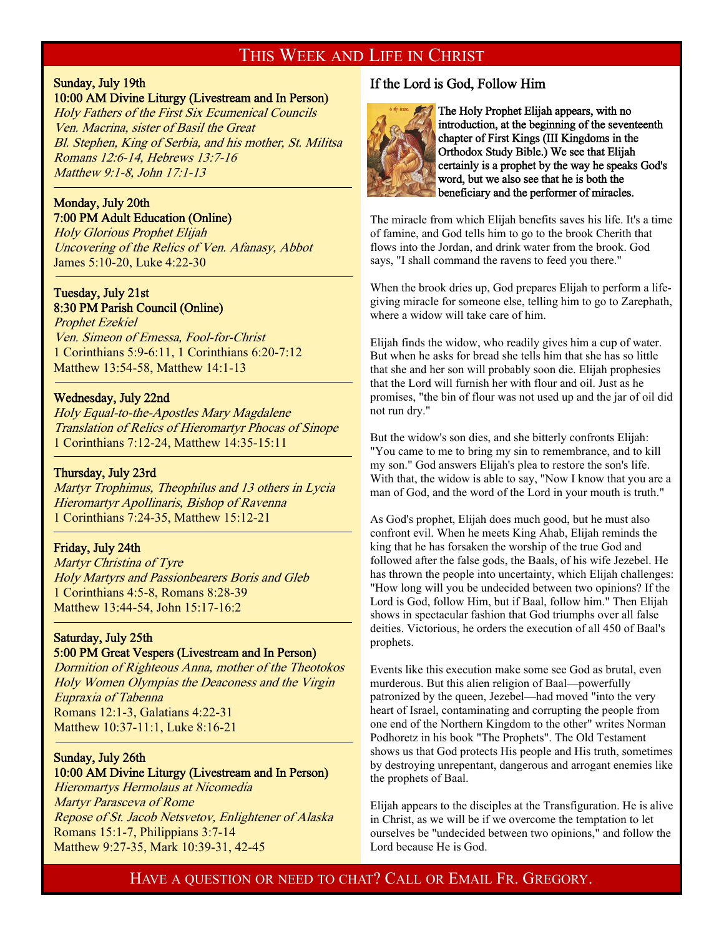#### THIS WEEK AND LIFE IN CHRIST

## Sunday, July 19th

-

#### 10:00 AM Divine Liturgy (Livestream and In Person)

Holy Fathers of the First Six Ecumenical Councils Ven. Macrina, sister of Basil the Great Bl. Stephen, King of Serbia, and his mother, St. Militsa Romans 12:6-14, Hebrews 13:7-16 Matthew 9:1-8, John 17:1-13

#### Monday, July 20th 7:00 PM Adult Education (Online)

Holy Glorious Prophet Elijah Uncovering of the Relics of Ven. Afanasy, Abbot James 5:10-20, Luke 4:22-30

#### Tuesday, July 21st 8:30 PM Parish Council (Online)

Prophet Ezekiel Ven. Simeon of Emessa, Fool-for-Christ 1 Corinthians 5:9-6:11, 1 Corinthians 6:20-7:12 Matthew 13:54-58, Matthew 14:1-13

#### Wednesday, July 22nd

Holy Equal-to-the-Apostles Mary Magdalene Translation of Relics of Hieromartyr Phocas of Sinope 1 Corinthians 7:12-24, Matthew 14:35-15:11

#### Thursday, July 23rd

<sup>-</sup>

<sup>-</sup>

Martyr Trophimus, Theophilus and 13 others in Lycia Hieromartyr Apollinaris, Bishop of Ravenna 1 Corinthians 7:24-35, Matthew 15:12-21

#### Friday, July 24th

Martyr Christina of Tyre Holy Martyrs and Passionbearers Boris and Gleb 1 Corinthians 4:5-8, Romans 8:28-39 Matthew 13:44-54, John 15:17-16:2

#### Saturday, July 25th 5:00 PM Great Vespers (Livestream and In Person)

Dormition of Righteous Anna, mother of the Theotokos Holy Women Olympias the Deaconess and the Virgin Eupraxia of Tabenna Romans 12:1-3, Galatians 4:22-31 Matthew 10:37-11:1, Luke 8:16-21

### Sunday, July 26th

#### 10:00 AM Divine Liturgy (Livestream and In Person)

Hieromartys Hermolaus at Nicomedia Martyr Parasceva of Rome Repose of St. Jacob Netsvetov, Enlightener of Alaska Romans 15:1-7, Philippians 3:7-14 Matthew 9:27-35, Mark 10:39-31, 42-45

#### If the Lord is God, Follow Him



The Holy Prophet Elijah appears, with no introduction, at the beginning of the seventeenth chapter of First Kings (III Kingdoms in the Orthodox Study Bible.) We see that Elijah certainly is a prophet by the way he speaks God's word, but we also see that he is both the beneficiary and the performer of miracles.

The miracle from which Elijah benefits saves his life. It's a time of famine, and God tells him to go to the brook Cherith that flows into the Jordan, and drink water from the brook. God says, "I shall command the ravens to feed you there."

When the brook dries up, God prepares Elijah to perform a lifegiving miracle for someone else, telling him to go to Zarephath, where a widow will take care of him.

Elijah finds the widow, who readily gives him a cup of water. But when he asks for bread she tells him that she has so little that she and her son will probably soon die. Elijah prophesies that the Lord will furnish her with flour and oil. Just as he promises, "the bin of flour was not used up and the jar of oil did not run dry."

But the widow's son dies, and she bitterly confronts Elijah: "You came to me to bring my sin to remembrance, and to kill my son." God answers Elijah's plea to restore the son's life. With that, the widow is able to say, "Now I know that you are a man of God, and the word of the Lord in your mouth is truth."

As God's prophet, Elijah does much good, but he must also confront evil. When he meets King Ahab, Elijah reminds the king that he has forsaken the worship of the true God and followed after the false gods, the Baals, of his wife Jezebel. He has thrown the people into uncertainty, which Elijah challenges: "How long will you be undecided between two opinions? If the Lord is God, follow Him, but if Baal, follow him." Then Elijah shows in spectacular fashion that God triumphs over all false deities. Victorious, he orders the execution of all 450 of Baal's prophets.

Events like this execution make some see God as brutal, even murderous. But this alien religion of Baal—powerfully patronized by the queen, Jezebel—had moved "into the very heart of Israel, contaminating and corrupting the people from one end of the Northern Kingdom to the other" writes Norman Podhoretz in his book "The Prophets". The Old Testament shows us that God protects His people and His truth, sometimes by destroying unrepentant, dangerous and arrogant enemies like the prophets of Baal.

Elijah appears to the disciples at the Transfiguration. He is alive in Christ, as we will be if we overcome the temptation to let ourselves be "undecided between two opinions," and follow the Lord because He is God.

HAVE A QUESTION OR NEED TO CHAT? CALL OR EMAIL FR. GREGORY.